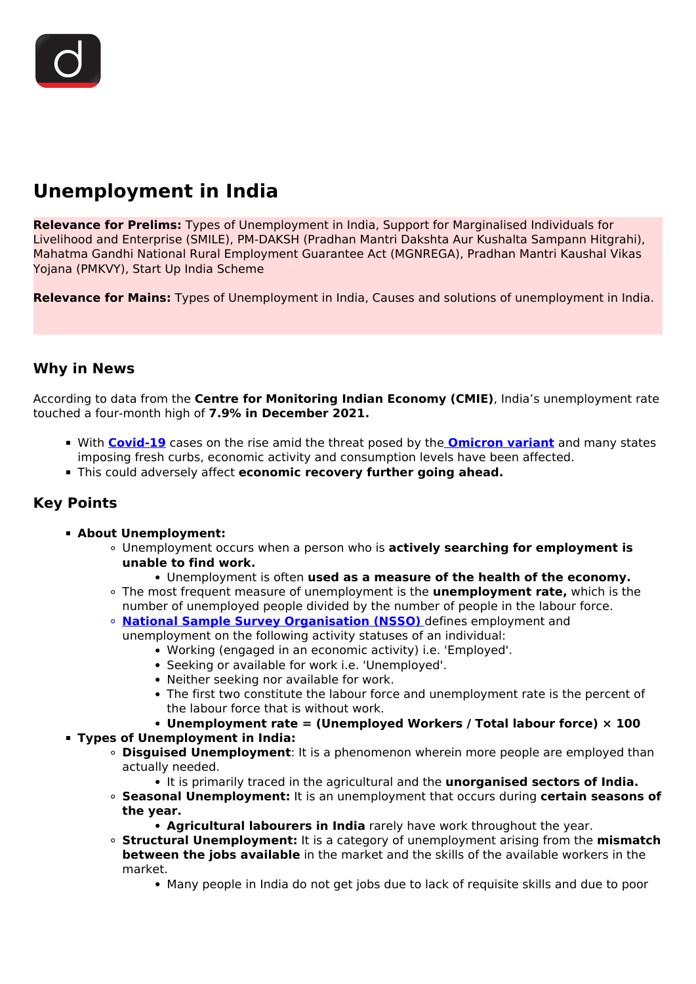# **Unemployment in India**

**Relevance for Prelims:** Types of Unemployment in India, Support for Marginalised Individuals for Livelihood and Enterprise (SMILE), PM-DAKSH (Pradhan Mantri Dakshta Aur Kushalta Sampann Hitgrahi), Mahatma Gandhi National Rural Employment Guarantee Act (MGNREGA), Pradhan Mantri Kaushal Vikas Yojana (PMKVY), Start Up India Scheme

**Relevance for Mains:** Types of Unemployment in India, Causes and solutions of unemployment in India.

## **Why in News**

According to data from the **Centre for Monitoring Indian Economy (CMIE)**, India's unemployment rate touched a four-month high of **7.9% in December 2021.**

- With **[Covid-19](/loksabha-rajyasabha-discussions/the-big-picture-india-s-covid-pandemic-management)** cases on the rise amid the threat posed by the **[Omicron variant](/daily-updates/daily-news-analysis/omicron-new-corona-variant)** and many states imposing fresh curbs, economic activity and consumption levels have been affected.
- This could adversely affect **economic recovery further going ahead.**

# **Key Points**

- **About Unemployment:**
	- Unemployment occurs when a person who is **actively searching for employment is unable to find work.**
		- Unemployment is often **used as a measure of the health of the economy.**
	- The most frequent measure of unemployment is the **unemployment rate,** which is the number of unemployed people divided by the number of people in the labour force.
	- **[National Sample Survey Organisation \(NSSO\)](/daily-updates/daily-news-analysis/restructuring-of-indian-statistical-system)** defines employment and unemployment on the following activity statuses of an individual:
		- Working (engaged in an economic activity) i.e. 'Employed'.
			- Seeking or available for work i.e. 'Unemployed'.
			- Neither seeking nor available for work.
			- The first two constitute the labour force and unemployment rate is the percent of the labour force that is without work.

## **Unemployment rate = (Unemployed Workers / Total labour force) × 100**

### **Types of Unemployment in India:**

- **Disguised Unemployment**: It is a phenomenon wherein more people are employed than actually needed.
	- It is primarily traced in the agricultural and the **unorganised sectors of India.**
- **Seasonal Unemployment:** It is an unemployment that occurs during **certain seasons of the year.**
	- **Agricultural labourers in India** rarely have work throughout the year.
- **Structural Unemployment:** It is a category of unemployment arising from the **mismatch between the jobs available** in the market and the skills of the available workers in the market.
	- Many people in India do not get jobs due to lack of requisite skills and due to poor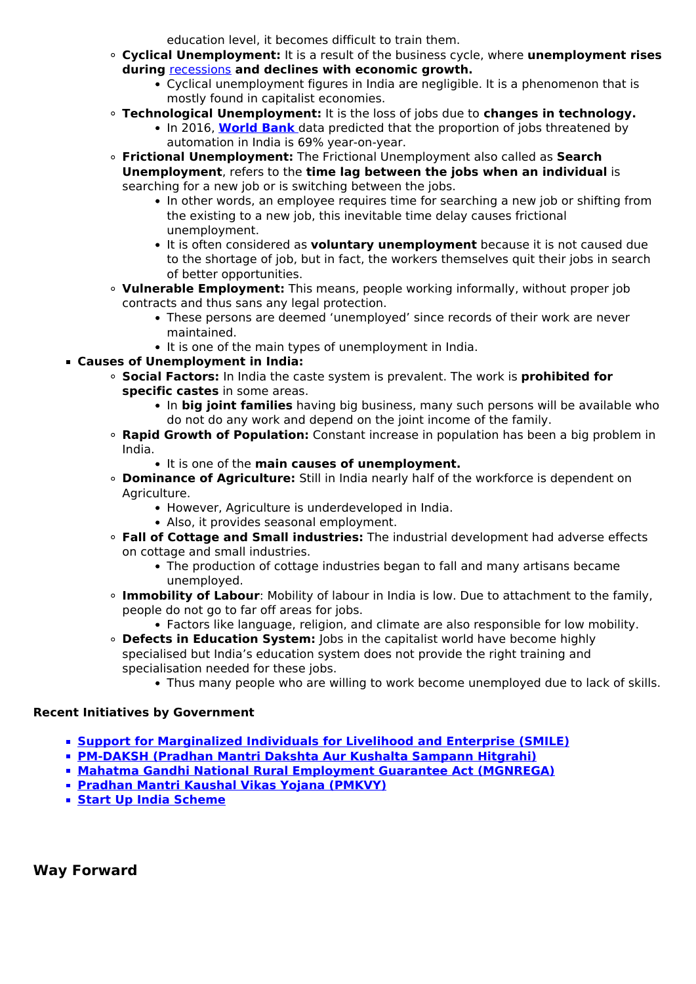education level, it becomes difficult to train them.

- **Cyclical Unemployment:** It is a result of the business cycle, where **unemployment rises during** [recessions](/daily-updates/daily-news-analysis/india-emerged-out-of-technical-recession) **and declines with economic growth.**
	- Cyclical unemployment figures in India are negligible. It is a phenomenon that is mostly found in capitalist economies.
- **Technological Unemployment:** It is the loss of jobs due to **changes in technology.**
	- In 2016, **[World Bank](/important-institutions/drishti-specials-important-institutions-international-institution/world-bank-group)** data predicted that the proportion of jobs threatened by automation in India is 69% year-on-year.
- **Frictional Unemployment:** The Frictional Unemployment also called as **Search Unemployment**, refers to the **time lag between the jobs when an individual** is searching for a new job or is switching between the jobs.
	- In other words, an employee requires time for searching a new job or shifting from the existing to a new job, this inevitable time delay causes frictional unemployment.
	- It is often considered as **voluntary unemployment** because it is not caused due to the shortage of job, but in fact, the workers themselves quit their jobs in search of better opportunities.
- **Vulnerable Employment:** This means, people working informally, without proper job contracts and thus sans any legal protection.
	- These persons are deemed 'unemployed' since records of their work are never maintained.
	- It is one of the main types of unemployment in India.
- **Causes of Unemployment in India:**
	- **Social Factors:** In India the caste system is prevalent. The work is **prohibited for specific castes** in some areas.
		- In big joint families having big business, many such persons will be available who do not do any work and depend on the joint income of the family.
	- **Rapid Growth of Population:** Constant increase in population has been a big problem in India.
		- **It is one of the main causes of unemployment.**
	- **Dominance of Agriculture:** Still in India nearly half of the workforce is dependent on Agriculture.
		- However, Agriculture is underdeveloped in India.
		- Also, it provides seasonal employment.
	- **Fall of Cottage and Small industries:** The industrial development had adverse effects on cottage and small industries.
		- The production of cottage industries began to fall and many artisans became unemployed.
	- **Immobility of Labour**: Mobility of labour in India is low. Due to attachment to the family, people do not go to far off areas for jobs.
		- Factors like language, religion, and climate are also responsible for low mobility.
	- **Defects in Education System:** Jobs in the capitalist world have become highly specialised but India's education system does not provide the right training and specialisation needed for these jobs.
		- Thus many people who are willing to work become unemployed due to lack of skills.

### **Recent Initiatives by Government**

- **[Support for Marginalized Individuals for Livelihood and Enterprise \(SMILE\)](/daily-updates/daily-news-analysis/smile-scheme)**
- **[PM-DAKSH \(Pradhan Mantri Dakshta Aur Kushalta Sampann Hitgrahi\)](/daily-updates/daily-news-analysis/pm-daksh-scheme)**
- **[Mahatma Gandhi National Rural Employment Guarantee Act \(MGNREGA\)](/daily-updates/daily-news-editorials/mgnrega-and-migrant-crisis)**
- **[Pradhan Mantri Kaushal Vikas Yojana \(PMKVY\)](/daily-updates/daily-news-analysis/pradhan-mantri-kaushal-vikas-yojana-3-0)**
- **[Start Up India Scheme](/daily-updates/daily-news-analysis/stand-up-india-scheme)**

**Way Forward**